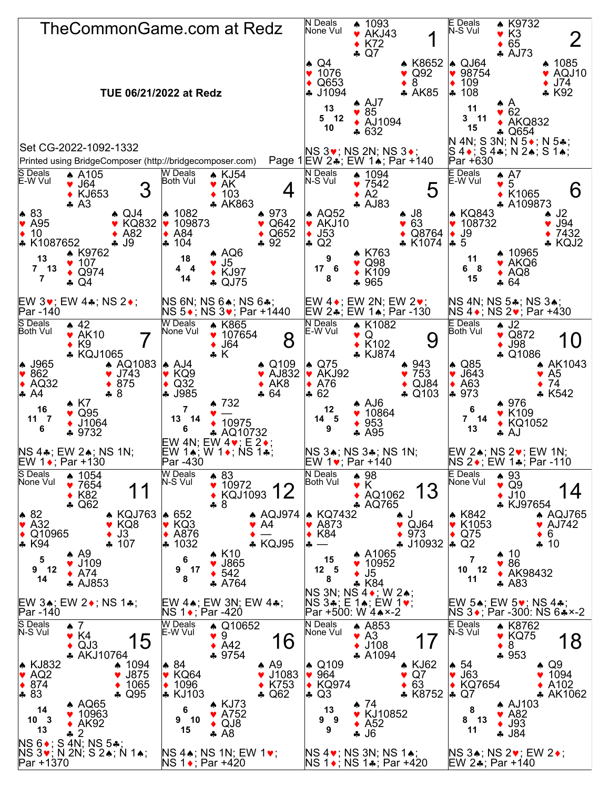